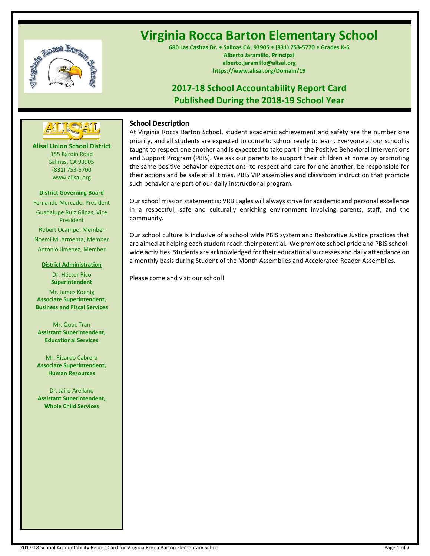

# **Virginia Rocca Barton Elementary School**

**680 Las Casitas Dr. • Salinas CA, 93905 • (831) 753-5770 • Grades K-6 Alberto Jaramillo, Principal alberto.jaramillo@alisal.org https://www.alisal.org/Domain/19**

## **2017-18 School Accountability Report Card Published During the 2018-19 School Year**



**Alisal Union School District** 155 Bardin Road Salinas, CA 93905 (831) 753-5700 www.alisal.org

#### **District Governing Board**

Fernando Mercado, President Guadalupe Ruiz Gilpas, Vice President Robert Ocampo, Member Noemí M. Armenta, Member Antonio Jimenez, Member

#### **District Administration**

Dr. Héctor Rico **Superintendent** Mr. James Koenig **Associate Superintendent, Business and Fiscal Services**

Mr. Quoc Tran **Assistant Superintendent, Educational Services**

Mr. Ricardo Cabrera **Associate Superintendent, Human Resources**

Dr. Jairo Arellano **Assistant Superintendent, Whole Child Services**

## **School Description**

At Virginia Rocca Barton School, student academic achievement and safety are the number one priority, and all students are expected to come to school ready to learn. Everyone at our school is taught to respect one another and is expected to take part in the Positive Behavioral Interventions and Support Program (PBIS). We ask our parents to support their children at home by promoting the same positive behavior expectations: to respect and care for one another, be responsible for their actions and be safe at all times. PBIS VIP assemblies and classroom instruction that promote such behavior are part of our daily instructional program.

Our school mission statement is: VRB Eagles will always strive for academic and personal excellence in a respectful, safe and culturally enriching environment involving parents, staff, and the community.

Our school culture is inclusive of a school wide PBIS system and Restorative Justice practices that are aimed at helping each student reach their potential. We promote school pride and PBIS schoolwide activities. Students are acknowledged for their educational successes and daily attendance on a monthly basis during Student of the Month Assemblies and Accelerated Reader Assemblies.

Please come and visit our school!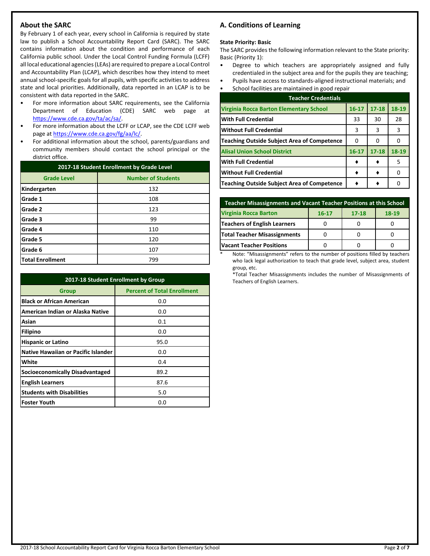## **About the SARC**

By February 1 of each year, every school in California is required by state law to publish a School Accountability Report Card (SARC). The SARC contains information about the condition and performance of each California public school. Under the Local Control Funding Formula (LCFF) all local educational agencies (LEAs) are required to prepare a Local Control and Accountability Plan (LCAP), which describes how they intend to meet annual school-specific goals for all pupils, with specific activities to address state and local priorities. Additionally, data reported in an LCAP is to be consistent with data reported in the SARC.

- For more information about SARC requirements, see the California Department of Education (CDE) SARC web page at [https://www.cde.ca.gov/ta/ac/sa/.](https://www.cde.ca.gov/ta/ac/sa/)
- For more information about the LCFF or LCAP, see the CDE LCFF web page at [https://www.cde.ca.gov/fg/aa/lc/.](https://www.cde.ca.gov/fg/aa/lc/)
- For additional information about the school, parents/guardians and community members should contact the school principal or the district office.

| 2017-18 Student Enrollment by Grade Level |                           |  |  |  |
|-------------------------------------------|---------------------------|--|--|--|
| <b>Grade Level</b>                        | <b>Number of Students</b> |  |  |  |
| Kindergarten                              | 132                       |  |  |  |
| Grade 1                                   | 108                       |  |  |  |
| Grade 2                                   | 123                       |  |  |  |
| Grade 3                                   | 99                        |  |  |  |
| Grade 4                                   | 110                       |  |  |  |
| Grade 5                                   | 120                       |  |  |  |
| Grade 6                                   | 107                       |  |  |  |
| <b>Total Enrollment</b>                   | 799                       |  |  |  |

| 2017-18 Student Enrollment by Group    |                                    |  |  |  |
|----------------------------------------|------------------------------------|--|--|--|
| <b>Group</b>                           | <b>Percent of Total Enrollment</b> |  |  |  |
| <b>Black or African American</b>       | 0.0                                |  |  |  |
| American Indian or Alaska Native       | 0.0                                |  |  |  |
| Asian                                  | 0.1                                |  |  |  |
| Filipino                               | 0.0                                |  |  |  |
| <b>Hispanic or Latino</b>              | 95.0                               |  |  |  |
| Native Hawaiian or Pacific Islander    | 0.0                                |  |  |  |
| White                                  | 0.4                                |  |  |  |
| <b>Socioeconomically Disadvantaged</b> | 89.2                               |  |  |  |
| <b>English Learners</b>                | 87.6                               |  |  |  |
| <b>Students with Disabilities</b>      | 5.0                                |  |  |  |
| <b>Foster Youth</b>                    | 0.0                                |  |  |  |

## **A. Conditions of Learning**

#### **State Priority: Basic**

The SARC provides the following information relevant to the State priority: Basic (Priority 1):

- Degree to which teachers are appropriately assigned and fully credentialed in the subject area and for the pupils they are teaching;
- Pupils have access to standards-aligned instructional materials; and School facilities are maintained in good repair

| <b>Teacher Credentials</b>                         |           |           |       |  |  |
|----------------------------------------------------|-----------|-----------|-------|--|--|
| Virginia Rocca Barton Elementary School            | $16 - 17$ | $17 - 18$ | 18-19 |  |  |
| <b>With Full Credential</b>                        | 33        | 30        | 28    |  |  |
| <b>Without Full Credential</b>                     | 3         | 3         | 3     |  |  |
| <b>Teaching Outside Subject Area of Competence</b> | 0         | O         |       |  |  |
| <b>Alisal Union School District</b>                | $16 - 17$ | $17 - 18$ | 18-19 |  |  |
| <b>With Full Credential</b>                        |           |           | 5     |  |  |
| <b>Without Full Credential</b>                     |           |           | n     |  |  |
| <b>Teaching Outside Subject Area of Competence</b> |           |           |       |  |  |

| <b>Teacher Misassignments and Vacant Teacher Positions at this School</b> |  |  |  |  |  |  |  |
|---------------------------------------------------------------------------|--|--|--|--|--|--|--|
| <b>Virginia Rocca Barton</b><br>$17 - 18$<br>$18-19$<br>$16 - 17$         |  |  |  |  |  |  |  |
| <b>Teachers of English Learners</b>                                       |  |  |  |  |  |  |  |
| Total Teacher Misassignments                                              |  |  |  |  |  |  |  |
| <b>Vacant Teacher Positions</b>                                           |  |  |  |  |  |  |  |

Note: "Misassignments" refers to the number of positions filled by teachers who lack legal authorization to teach that grade level, subject area, student group, etc.

\*Total Teacher Misassignments includes the number of Misassignments of Teachers of English Learners.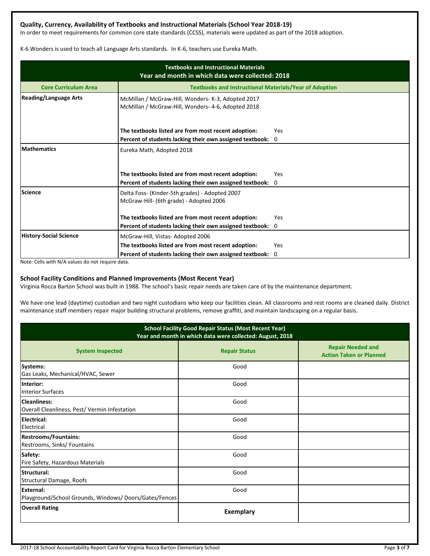## **Quality, Currency, Availability of Textbooks and Instructional Materials (School Year 2018-19)**

In order to meet requirements for common core state standards (CCSS), materials were updated as part of the 2018 adoption.

K-6 Wonders is used to teach all Language Arts standards. In K-6, teachers use Eureka Math.

| <b>Textbooks and Instructional Materials</b><br>Year and month in which data were collected: 2018 |                                                                                                          |          |  |  |  |
|---------------------------------------------------------------------------------------------------|----------------------------------------------------------------------------------------------------------|----------|--|--|--|
| <b>Core Curriculum Area</b>                                                                       | <b>Textbooks and Instructional Materials/Year of Adoption</b>                                            |          |  |  |  |
| <b>Reading/Language Arts</b>                                                                      | McMillan / McGraw-Hill, Wonders- K-3, Adopted 2017<br>McMillan / McGraw-Hill, Wonders- 4-6, Adopted 2018 |          |  |  |  |
|                                                                                                   | The textbooks listed are from most recent adoption:                                                      | Yes      |  |  |  |
|                                                                                                   | Percent of students lacking their own assigned textbook:                                                 | 0        |  |  |  |
| <b>Mathematics</b>                                                                                | Eureka Math, Adopted 2018                                                                                |          |  |  |  |
|                                                                                                   | The textbooks listed are from most recent adoption:                                                      | Yes      |  |  |  |
|                                                                                                   | Percent of students lacking their own assigned textbook:                                                 | $\Omega$ |  |  |  |
| <b>Science</b>                                                                                    | Delta Foss- (Kinder-5th grades) - Adopted 2007<br>McGraw-Hill- (6th grade) - Adopted 2006                |          |  |  |  |
|                                                                                                   | The textbooks listed are from most recent adoption:                                                      | Yes      |  |  |  |
|                                                                                                   | Percent of students lacking their own assigned textbook: 0                                               |          |  |  |  |
| <b>History-Social Science</b>                                                                     | McGraw-Hill, Vistas-Adopted 2006                                                                         |          |  |  |  |
|                                                                                                   | The textbooks listed are from most recent adoption:                                                      | Yes      |  |  |  |
|                                                                                                   | Percent of students lacking their own assigned textbook:                                                 | 0        |  |  |  |

Note: Cells with N/A values do not require data.

### **School Facility Conditions and Planned Improvements (Most Recent Year)**

Virginia Rocca Barton School was built in 1988. The school's basic repair needs are taken care of by the maintenance department.

We have one lead (daytime) custodian and two night custodians who keep our facilities clean. All classrooms and rest rooms are cleaned daily. District maintenance staff members repair major building structural problems, remove graffiti, and maintain landscaping on a regular basis.

| <b>School Facility Good Repair Status (Most Recent Year)</b><br>Year and month in which data were collected: August, 2018 |                      |                                                            |  |  |
|---------------------------------------------------------------------------------------------------------------------------|----------------------|------------------------------------------------------------|--|--|
| <b>System Inspected</b>                                                                                                   | <b>Repair Status</b> | <b>Repair Needed and</b><br><b>Action Taken or Planned</b> |  |  |
| <b>Systems:</b><br>Gas Leaks, Mechanical/HVAC, Sewer                                                                      | Good                 |                                                            |  |  |
| Interior:<br><b>Interior Surfaces</b>                                                                                     | Good                 |                                                            |  |  |
| Cleanliness:<br>Overall Cleanliness, Pest/ Vermin Infestation                                                             | Good                 |                                                            |  |  |
| Electrical:<br>Electrical                                                                                                 | Good                 |                                                            |  |  |
| <b>Restrooms/Fountains:</b><br>Restrooms, Sinks/ Fountains                                                                | Good                 |                                                            |  |  |
| Safety:<br>Fire Safety, Hazardous Materials                                                                               | Good                 |                                                            |  |  |
| Structural:<br>Structural Damage, Roofs                                                                                   | Good                 |                                                            |  |  |
| External:<br>Playground/School Grounds, Windows/Doors/Gates/Fences                                                        | Good                 |                                                            |  |  |
| <b>Overall Rating</b>                                                                                                     | <b>Exemplary</b>     |                                                            |  |  |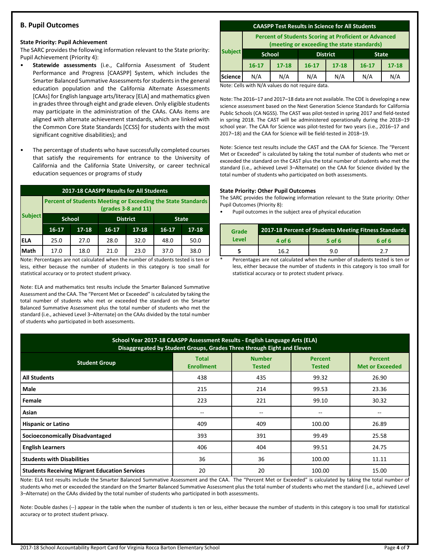## **B. Pupil Outcomes**

#### **State Priority: Pupil Achievement**

The SARC provides the following information relevant to the State priority: Pupil Achievement (Priority 4):

- **Statewide assessments** (i.e., California Assessment of Student Performance and Progress [CAASPP] System, which includes the Smarter Balanced Summative Assessments for students in the general education population and the California Alternate Assessments [CAAs] for English language arts/literacy [ELA] and mathematics given in grades three through eight and grade eleven. Only eligible students may participate in the administration of the CAAs. CAAs items are aligned with alternate achievement standards, which are linked with the Common Core State Standards [CCSS] for students with the most significant cognitive disabilities); and
- The percentage of students who have successfully completed courses that satisfy the requirements for entrance to the University of California and the California State University, or career technical education sequences or programs of study

| 2017-18 CAASPP Results for All Students                                               |               |           |                 |           |              |           |
|---------------------------------------------------------------------------------------|---------------|-----------|-----------------|-----------|--------------|-----------|
| Percent of Students Meeting or Exceeding the State Standards<br>$(grades 3-8 and 11)$ |               |           |                 |           |              |           |
| <b>Subject</b>                                                                        | <b>School</b> |           | <b>District</b> |           | <b>State</b> |           |
|                                                                                       | $16 - 17$     | $17 - 18$ | $16 - 17$       | $17 - 18$ | $16-17$      | $17 - 18$ |
| IELA                                                                                  | 25.0          | 27.0      | 28.0            | 32.0      | 48.0         | 50.0      |
| Math                                                                                  | 17.0          | 18.0      | 21.0            | 23.0      | 37.0         | 38.0      |

Note: Percentages are not calculated when the number of students tested is ten or less, either because the number of students in this category is too small for statistical accuracy or to protect student privacy.

Note: ELA and mathematics test results include the Smarter Balanced Summative Assessment and the CAA. The "Percent Met or Exceeded" is calculated by taking the total number of students who met or exceeded the standard on the Smarter Balanced Summative Assessment plus the total number of students who met the standard (i.e., achieved Level 3–Alternate) on the CAAs divided by the total number of students who participated in both assessments.

#### **CAASPP Test Results in Science for All Students**

**Percent of Students Scoring at Proficient or Advanced (meeting or exceeding the state standards)**

|                | lineeting of exceeding the state standards, |               |                 |           |              |           |
|----------------|---------------------------------------------|---------------|-----------------|-----------|--------------|-----------|
| <b>Subject</b> | <b>School</b>                               |               | <b>District</b> |           | <b>State</b> |           |
|                | $16 - 17$                                   | $17 - 18$     | $16 - 17$       | $17 - 18$ | $16 - 17$    | $17 - 18$ |
| <b>Science</b> | N/A                                         | N/A           | N/A             | N/A       | N/A          | N/A       |
|                | .                                           | $\sim$ $\sim$ |                 |           |              |           |

Note: Cells with N/A values do not require data.

Note: The 2016–17 and 2017–18 data are not available. The CDE is developing a new science assessment based on the Next Generation Science Standards for California Public Schools (CA NGSS). The CAST was pilot-tested in spring 2017 and field-tested in spring 2018. The CAST will be administered operationally during the 2018–19 school year. The CAA for Science was pilot-tested for two years (i.e., 2016–17 and 2017–18) and the CAA for Science will be field-tested in 2018–19.

Note: Science test results include the CAST and the CAA for Science. The "Percent Met or Exceeded" is calculated by taking the total number of students who met or exceeded the standard on the CAST plus the total number of students who met the standard (i.e., achieved Level 3–Alternate) on the CAA for Science divided by the total number of students who participated on both assessments.

#### **State Priority: Other Pupil Outcomes**

The SARC provides the following information relevant to the State priority: Other Pupil Outcomes (Priority 8):

Pupil outcomes in the subject area of physical education

| Grade |        | 2017-18 Percent of Students Meeting Fitness Standards |        |
|-------|--------|-------------------------------------------------------|--------|
| Level | 4 of 6 | 5 of 6                                                | 6 of 6 |
|       | 16 2   |                                                       | 77     |

Percentages are not calculated when the number of students tested is ten or less, either because the number of students in this category is too small for statistical accuracy or to protect student privacy.

| School Year 2017-18 CAASPP Assessment Results - English Language Arts (ELA)<br>Disaggregated by Student Groups, Grades Three through Eight and Eleven               |       |                                       |        |       |  |  |  |
|---------------------------------------------------------------------------------------------------------------------------------------------------------------------|-------|---------------------------------------|--------|-------|--|--|--|
| <b>Number</b><br><b>Total</b><br>Percent<br><b>Percent</b><br><b>Student Group</b><br><b>Enrollment</b><br><b>Met or Exceeded</b><br><b>Tested</b><br><b>Tested</b> |       |                                       |        |       |  |  |  |
| <b>All Students</b>                                                                                                                                                 | 438   | 435                                   | 99.32  | 26.90 |  |  |  |
| Male                                                                                                                                                                | 215   | 214                                   | 99.53  | 23.36 |  |  |  |
| Female                                                                                                                                                              | 223   | 221                                   | 99.10  | 30.32 |  |  |  |
| Asian                                                                                                                                                               | $- -$ | $\hspace{0.05cm}$ – $\hspace{0.05cm}$ | --     | $- -$ |  |  |  |
| <b>Hispanic or Latino</b>                                                                                                                                           | 409   | 409                                   | 100.00 | 26.89 |  |  |  |
| <b>Socioeconomically Disadvantaged</b>                                                                                                                              | 393   | 391                                   | 99.49  | 25.58 |  |  |  |
| <b>English Learners</b>                                                                                                                                             | 406   | 404                                   | 99.51  | 24.75 |  |  |  |
| <b>Students with Disabilities</b>                                                                                                                                   | 36    | 36                                    | 100.00 | 11.11 |  |  |  |
| <b>Students Receiving Migrant Education Services</b>                                                                                                                | 20    | 20                                    | 100.00 | 15.00 |  |  |  |

Note: ELA test results include the Smarter Balanced Summative Assessment and the CAA. The "Percent Met or Exceeded" is calculated by taking the total number of students who met or exceeded the standard on the Smarter Balanced Summative Assessment plus the total number of students who met the standard (i.e., achieved Level 3–Alternate) on the CAAs divided by the total number of students who participated in both assessments.

Note: Double dashes (--) appear in the table when the number of students is ten or less, either because the number of students in this category is too small for statistical accuracy or to protect student privacy.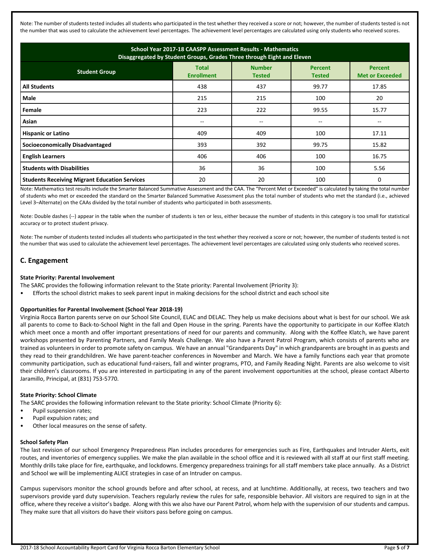Note: The number of students tested includes all students who participated in the test whether they received a score or not; however, the number of students tested is not the number that was used to calculate the achievement level percentages. The achievement level percentages are calculated using only students who received scores.

| School Year 2017-18 CAASPP Assessment Results - Mathematics<br>Disaggregated by Student Groups, Grades Three through Eight and Eleven                    |     |                                       |       |       |  |  |  |
|----------------------------------------------------------------------------------------------------------------------------------------------------------|-----|---------------------------------------|-------|-------|--|--|--|
| <b>Number</b><br><b>Total</b><br><b>Percent</b><br><b>Student Group</b><br><b>Met or Exceeded</b><br><b>Enrollment</b><br><b>Tested</b><br><b>Tested</b> |     |                                       |       |       |  |  |  |
| <b>All Students</b>                                                                                                                                      | 438 | 437                                   | 99.77 | 17.85 |  |  |  |
| Male                                                                                                                                                     | 215 | 215                                   | 100   | 20    |  |  |  |
| Female                                                                                                                                                   | 223 | 222                                   | 99.55 | 15.77 |  |  |  |
| Asian                                                                                                                                                    | --  | $\hspace{0.05cm}$ – $\hspace{0.05cm}$ | --    |       |  |  |  |
| <b>Hispanic or Latino</b>                                                                                                                                | 409 | 409                                   | 100   | 17.11 |  |  |  |
| <b>Socioeconomically Disadvantaged</b>                                                                                                                   | 393 | 392                                   | 99.75 | 15.82 |  |  |  |
| <b>English Learners</b>                                                                                                                                  | 406 | 406                                   | 100   | 16.75 |  |  |  |
| <b>Students with Disabilities</b>                                                                                                                        | 36  | 36                                    | 100   | 5.56  |  |  |  |
| <b>Students Receiving Migrant Education Services</b>                                                                                                     | 20  | 20                                    | 100   |       |  |  |  |

Note: Mathematics test results include the Smarter Balanced Summative Assessment and the CAA. The "Percent Met or Exceeded" is calculated by taking the total number of students who met or exceeded the standard on the Smarter Balanced Summative Assessment plus the total number of students who met the standard (i.e., achieved Level 3–Alternate) on the CAAs divided by the total number of students who participated in both assessments.

Note: Double dashes (--) appear in the table when the number of students is ten or less, either because the number of students in this category is too small for statistical accuracy or to protect student privacy.

Note: The number of students tested includes all students who participated in the test whether they received a score or not; however, the number of students tested is not the number that was used to calculate the achievement level percentages. The achievement level percentages are calculated using only students who received scores.

## **C. Engagement**

#### **State Priority: Parental Involvement**

The SARC provides the following information relevant to the State priority: Parental Involvement (Priority 3):

• Efforts the school district makes to seek parent input in making decisions for the school district and each school site

#### **Opportunities for Parental Involvement (School Year 2018-19)**

Virginia Rocca Barton parents serve on our School Site Council, ELAC and DELAC. They help us make decisions about what is best for our school. We ask all parents to come to Back-to-School Night in the fall and Open House in the spring. Parents have the opportunity to participate in our Koffee Klatch which meet once a month and offer important presentations of need for our parents and community. Along with the Koffee Klatch, we have parent workshops presented by Parenting Partners, and Family Meals Challenge. We also have a Parent Patrol Program, which consists of parents who are trained as volunteers in order to promote safety on campus. We have an annual "Grandparents Day" in which grandparents are brought in as guests and they read to their grandchildren. We have parent-teacher conferences in November and March. We have a family functions each year that promote community participation, such as educational fund-raisers, fall and winter programs, PTO, and Family Reading Night. Parents are also welcome to visit their children's classrooms. If you are interested in participating in any of the parent involvement opportunities at the school, please contact Alberto Jaramillo, Principal, at (831) 753-5770.

#### **State Priority: School Climate**

The SARC provides the following information relevant to the State priority: School Climate (Priority 6):

- Pupil suspension rates;
- Pupil expulsion rates; and
- Other local measures on the sense of safety.

## **School Safety Plan**

The last revision of our school Emergency Preparedness Plan includes procedures for emergencies such as Fire, Earthquakes and Intruder Alerts, exit routes, and inventories of emergency supplies. We make the plan available in the school office and it is reviewed with all staff at our first staff meeting. Monthly drills take place for fire, earthquake, and lockdowns. Emergency preparedness trainings for all staff members take place annually. As a District and School we will be implementing ALICE strategies in case of an Intruder on campus.

Campus supervisors monitor the school grounds before and after school, at recess, and at lunchtime. Additionally, at recess, two teachers and two supervisors provide yard duty supervision. Teachers regularly review the rules for safe, responsible behavior. All visitors are required to sign in at the office, where they receive a visitor's badge. Along with this we also have our Parent Patrol, whom help with the supervision of our students and campus. They make sure that all visitors do have their visitors pass before going on campus.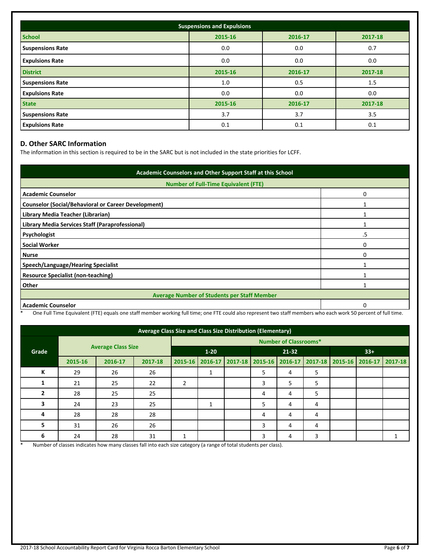| <b>Suspensions and Expulsions</b> |                               |         |         |  |  |  |  |
|-----------------------------------|-------------------------------|---------|---------|--|--|--|--|
| <b>School</b>                     | 2015-16<br>2016-17<br>2017-18 |         |         |  |  |  |  |
| <b>Suspensions Rate</b>           | 0.0                           | 0.0     | 0.7     |  |  |  |  |
| <b>Expulsions Rate</b>            | 0.0                           | 0.0     | 0.0     |  |  |  |  |
| <b>District</b>                   | 2015-16                       | 2016-17 | 2017-18 |  |  |  |  |
| <b>Suspensions Rate</b>           | 1.0                           | 0.5     | 1.5     |  |  |  |  |
| <b>Expulsions Rate</b>            | 0.0                           | 0.0     | 0.0     |  |  |  |  |
| <b>State</b>                      | 2015-16                       | 2016-17 | 2017-18 |  |  |  |  |
| <b>Suspensions Rate</b>           | 3.7                           | 3.7     | 3.5     |  |  |  |  |
| <b>Expulsions Rate</b>            | 0.1                           | 0.1     | 0.1     |  |  |  |  |

## **D. Other SARC Information**

The information in this section is required to be in the SARC but is not included in the state priorities for LCFF.

| Academic Counselors and Other Support Staff at this School |    |  |  |  |
|------------------------------------------------------------|----|--|--|--|
| <b>Number of Full-Time Equivalent (FTE)</b>                |    |  |  |  |
| <b>Academic Counselor</b>                                  | O  |  |  |  |
| <b>Counselor (Social/Behavioral or Career Development)</b> |    |  |  |  |
| Library Media Teacher (Librarian)                          |    |  |  |  |
| Library Media Services Staff (Paraprofessional)            |    |  |  |  |
| Psychologist                                               | .5 |  |  |  |
| <b>Social Worker</b>                                       | 0  |  |  |  |
| <b>Nurse</b>                                               | O  |  |  |  |
| Speech/Language/Hearing Specialist                         |    |  |  |  |
| <b>Resource Specialist (non-teaching)</b>                  |    |  |  |  |
| Other                                                      |    |  |  |  |
| <b>Average Number of Students per Staff Member</b>         |    |  |  |  |
| <b>Academic Counselor</b>                                  |    |  |  |  |

\* One Full Time Equivalent (FTE) equals one staff member working full time; one FTE could also represent two staff members who each work 50 percent of full time.

| Average Class Size and Class Size Distribution (Elementary) |                           |         |         |                              |   |           |                                                                                         |   |       |  |  |  |
|-------------------------------------------------------------|---------------------------|---------|---------|------------------------------|---|-----------|-----------------------------------------------------------------------------------------|---|-------|--|--|--|
|                                                             | <b>Average Class Size</b> |         |         | <b>Number of Classrooms*</b> |   |           |                                                                                         |   |       |  |  |  |
| Grade                                                       |                           |         |         | $1 - 20$                     |   | $21 - 32$ |                                                                                         |   | $33+$ |  |  |  |
|                                                             | 2015-16                   | 2016-17 | 2017-18 |                              |   |           | 2015-16   2016-17   2017-18   2015-16   2016-17   2017-18   2015-16   2016-17   2017-18 |   |       |  |  |  |
| К                                                           | 29                        | 26      | 26      |                              | ᅩ |           | 5                                                                                       | 4 | 5     |  |  |  |
|                                                             | 21                        | 25      | 22      | 2                            |   |           | 3                                                                                       | 5 | 5     |  |  |  |
|                                                             | 28                        | 25      | 25      |                              |   |           | 4                                                                                       | 4 | 5     |  |  |  |
|                                                             | 24                        | 23      | 25      |                              | ᅩ |           | 5                                                                                       | 4 | 4     |  |  |  |
| 4                                                           | 28                        | 28      | 28      |                              |   |           | 4                                                                                       | 4 | 4     |  |  |  |
| 5                                                           | 31                        | 26      | 26      |                              |   |           | 3                                                                                       | 4 | 4     |  |  |  |
| 6                                                           | 24                        | 28      | 31      |                              |   |           | 3                                                                                       | 4 | 3     |  |  |  |

\* Number of classes indicates how many classes fall into each size category (a range of total students per class).